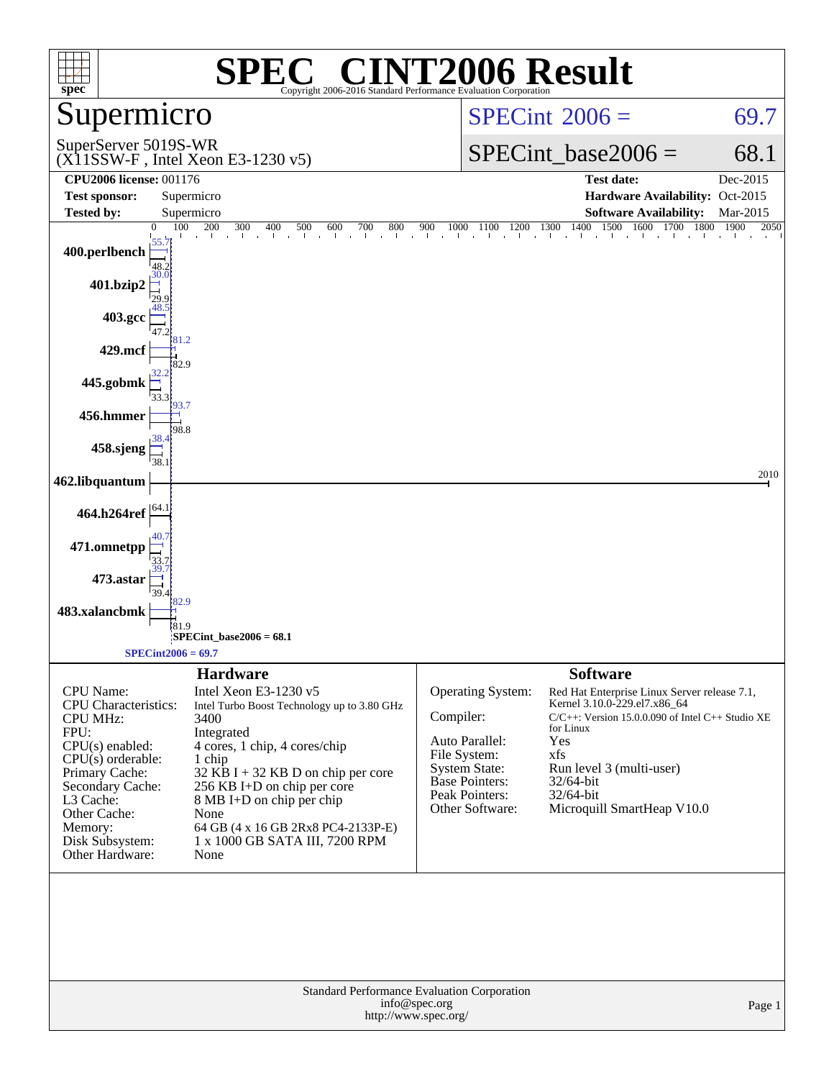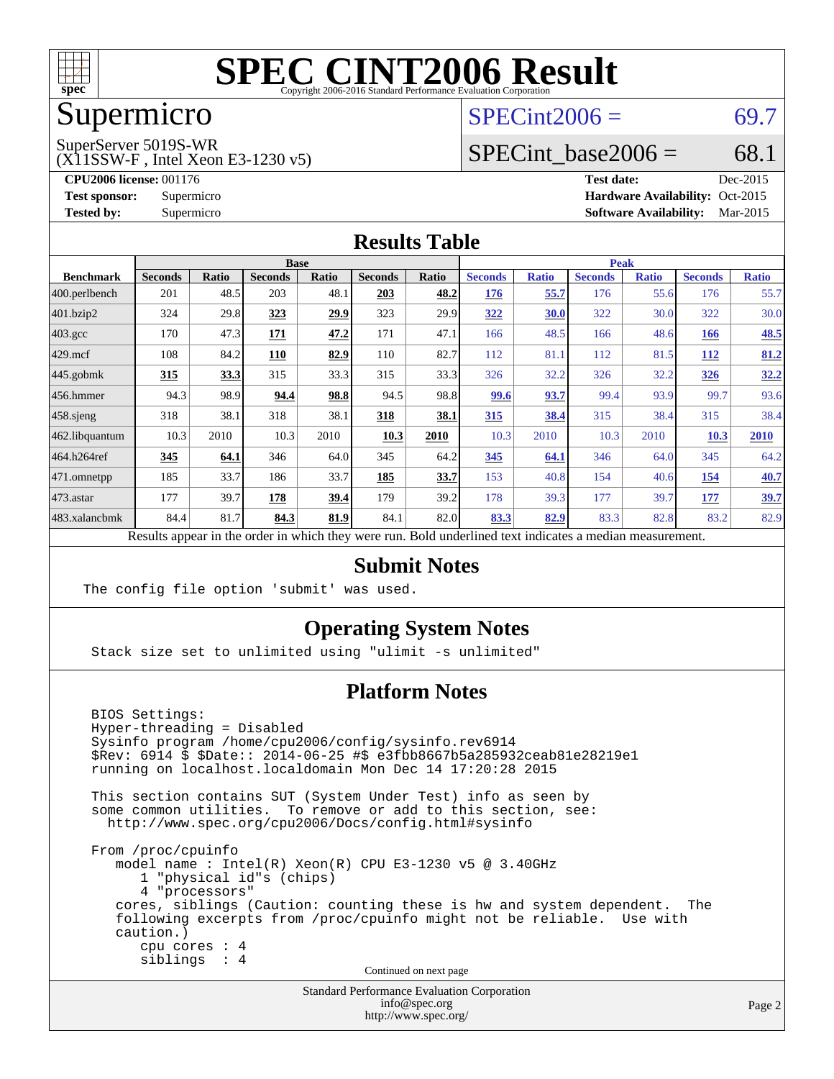

## Supermicro

#### $SPECint2006 = 69.7$  $SPECint2006 = 69.7$

SuperServer 5019S-WR

(X11SSW-F , Intel Xeon E3-1230 v5)

SPECint base2006 =  $68.1$ 

**[CPU2006 license:](http://www.spec.org/auto/cpu2006/Docs/result-fields.html#CPU2006license)** 001176 **[Test date:](http://www.spec.org/auto/cpu2006/Docs/result-fields.html#Testdate)** Dec-2015 **[Test sponsor:](http://www.spec.org/auto/cpu2006/Docs/result-fields.html#Testsponsor)** Supermicro Supermicro **[Hardware Availability:](http://www.spec.org/auto/cpu2006/Docs/result-fields.html#HardwareAvailability)** Oct-2015 **[Tested by:](http://www.spec.org/auto/cpu2006/Docs/result-fields.html#Testedby)** Supermicro **Supermicro [Software Availability:](http://www.spec.org/auto/cpu2006/Docs/result-fields.html#SoftwareAvailability)** Mar-2015

#### **[Results Table](http://www.spec.org/auto/cpu2006/Docs/result-fields.html#ResultsTable)**

|                    | <b>Base</b>    |             |                |              |                |                           | <b>Peak</b>    |              |                |              |                |              |
|--------------------|----------------|-------------|----------------|--------------|----------------|---------------------------|----------------|--------------|----------------|--------------|----------------|--------------|
| <b>Benchmark</b>   | <b>Seconds</b> | Ratio       | <b>Seconds</b> | <b>Ratio</b> | <b>Seconds</b> | <b>Ratio</b>              | <b>Seconds</b> | <b>Ratio</b> | <b>Seconds</b> | <b>Ratio</b> | <b>Seconds</b> | <b>Ratio</b> |
| 400.perlbench      | 201            | 48.5        | 203            | 48.1         | 203            | 48.2                      | 176            | 55.7         | 176            | 55.6         | 176            | 55.7         |
| 401.bzip2          | 324            | 29.8        | 323            | 29.9         | 323            | 29.9                      | 322            | 30.0         | 322            | 30.0         | 322            | 30.0         |
| $403.\mathrm{gcc}$ | 170            | 47.3        | 171            | 47.2         | 171            | 47.1                      | 166            | 48.5         | 166            | 48.6         | <b>166</b>     | 48.5         |
| $429$ .mcf         | 108            | 84.2        | 110            | 82.9         | 110            | 82.7                      | 112            | 81.1         | 112            | 81.5         | <b>112</b>     | 81.2         |
| $445$ .gobmk       | 315            | <u>33.3</u> | 315            | 33.3         | 315            | 33.3                      | 326            | 32.2         | 326            | 32.2         | <u>326</u>     | 32.2         |
| $456.$ hmmer       | 94.3           | 98.9        | 94.4           | 98.8         | 94.5           | 98.8                      | 99.6           | 93.7         | 99.4           | 93.9         | 99.7           | 93.6         |
| $458$ .sjeng       | 318            | 38.1        | 318            | 38.1         | 318            | 38.1                      | 315            | 38.4         | 315            | 38.4         | 315            | 38.4         |
| 462.libquantum     | 10.3           | 2010        | 10.3           | 2010         | 10.3           | 2010                      | 10.3           | 2010         | 10.3           | 2010         | 10.3           | 2010         |
| 464.h264ref        | 345            | 64.1        | 346            | 64.0         | 345            | 64.2                      | 345            | 64.1         | 346            | 64.0         | 345            | 64.2         |
| 471.omnetpp        | 185            | 33.7        | 186            | 33.7         | 185            | 33.7                      | 153            | 40.8         | 154            | 40.6         | 154            | 40.7         |
| $473$ . astar      | 177            | 39.7        | 178            | 39.4         | 179            | 39.2                      | 178            | 39.3         | 177            | 39.7         | 177            | 39.7         |
| 483.xalancbmk      | 84.4           | 81.7        | 84.3           | 81.9         | 84.1           | 82.0                      | 83.3           | 82.9         | 83.3           | 82.8         | 83.2           | 82.9         |
| n.                 | $\mathbf{1}$ . |             |                |              |                | $\mathbf{r}$ $\mathbf{r}$ |                |              | $\cdot$        |              |                |              |

Results appear in the [order in which they were run.](http://www.spec.org/auto/cpu2006/Docs/result-fields.html#RunOrder) Bold underlined text [indicates a median measurement.](http://www.spec.org/auto/cpu2006/Docs/result-fields.html#Median)

#### **[Submit Notes](http://www.spec.org/auto/cpu2006/Docs/result-fields.html#SubmitNotes)**

The config file option 'submit' was used.

#### **[Operating System Notes](http://www.spec.org/auto/cpu2006/Docs/result-fields.html#OperatingSystemNotes)**

Stack size set to unlimited using "ulimit -s unlimited"

#### **[Platform Notes](http://www.spec.org/auto/cpu2006/Docs/result-fields.html#PlatformNotes)**

 BIOS Settings: Hyper-threading = Disabled Sysinfo program /home/cpu2006/config/sysinfo.rev6914 \$Rev: 6914 \$ \$Date:: 2014-06-25 #\$ e3fbb8667b5a285932ceab81e28219e1 running on localhost.localdomain Mon Dec 14 17:20:28 2015 This section contains SUT (System Under Test) info as seen by some common utilities. To remove or add to this section, see: <http://www.spec.org/cpu2006/Docs/config.html#sysinfo> From /proc/cpuinfo model name : Intel(R) Xeon(R) CPU E3-1230 v5 @ 3.40GHz 1 "physical id"s (chips) 4 "processors" cores, siblings (Caution: counting these is hw and system dependent. The following excerpts from /proc/cpuinfo might not be reliable. Use with caution.) cpu cores : 4 siblings : 4 Continued on next page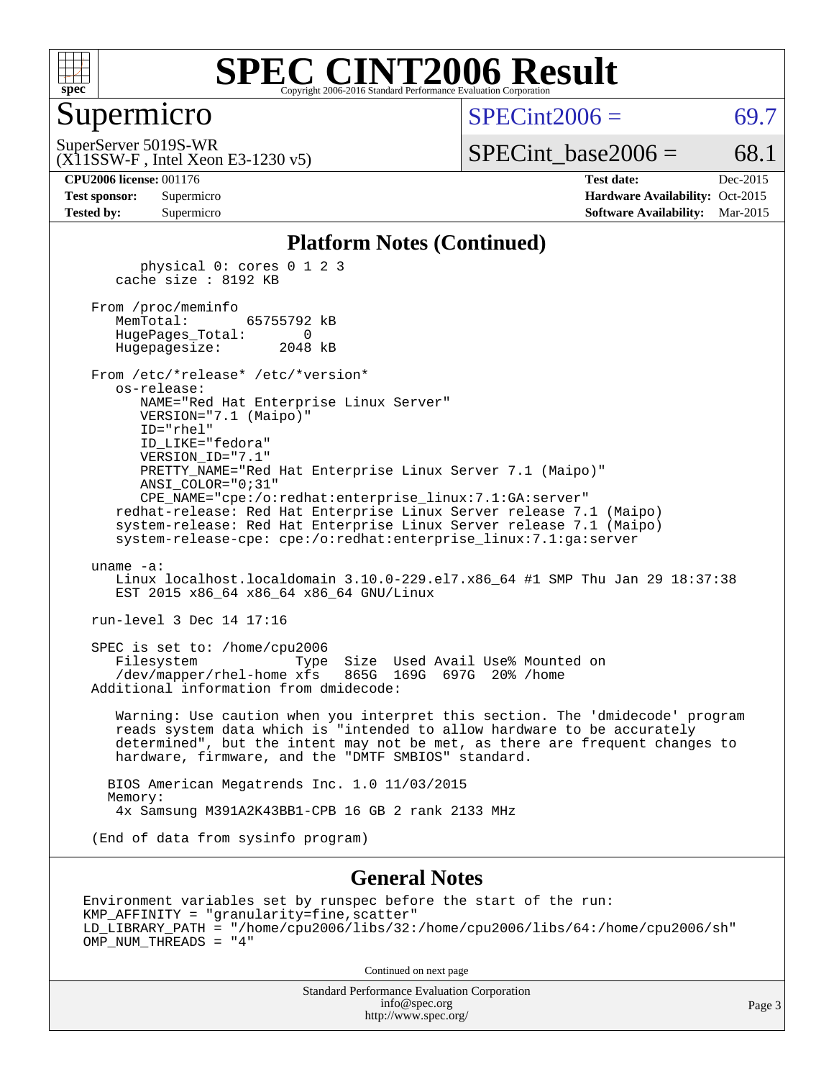

#### **[SPEC CINT2006 Result](http://www.spec.org/auto/cpu2006/Docs/result-fields.html#SPECCINT2006Result)** Copyright 2006-2016 Standard Performance Evaluation C

#### Supermicro

 $SPECint2006 = 69.7$  $SPECint2006 = 69.7$ 

(X11SSW-F , Intel Xeon E3-1230 v5) SuperServer 5019S-WR

 $SPECTnt\_base2006 = 68.1$ 

**[CPU2006 license:](http://www.spec.org/auto/cpu2006/Docs/result-fields.html#CPU2006license)** 001176 **[Test date:](http://www.spec.org/auto/cpu2006/Docs/result-fields.html#Testdate)** Dec-2015 **[Test sponsor:](http://www.spec.org/auto/cpu2006/Docs/result-fields.html#Testsponsor)** Supermicro Supermicro **[Hardware Availability:](http://www.spec.org/auto/cpu2006/Docs/result-fields.html#HardwareAvailability)** Oct-2015 **[Tested by:](http://www.spec.org/auto/cpu2006/Docs/result-fields.html#Testedby)** Supermicro **Supermicro [Software Availability:](http://www.spec.org/auto/cpu2006/Docs/result-fields.html#SoftwareAvailability)** Mar-2015

#### **[Platform Notes \(Continued\)](http://www.spec.org/auto/cpu2006/Docs/result-fields.html#PlatformNotes)**

 physical 0: cores 0 1 2 3 cache size : 8192 KB

 From /proc/meminfo MemTotal: 65755792 kB HugePages\_Total: 0 Hugepagesize: 2048 kB

 From /etc/\*release\* /etc/\*version\* os-release: NAME="Red Hat Enterprise Linux Server" VERSION="7.1 (Maipo)"

 ID="rhel" ID\_LIKE="fedora" VERSION\_ID="7.1" PRETTY\_NAME="Red Hat Enterprise Linux Server 7.1 (Maipo)" ANSI\_COLOR="0;31" CPE\_NAME="cpe:/o:redhat:enterprise\_linux:7.1:GA:server"

 redhat-release: Red Hat Enterprise Linux Server release 7.1 (Maipo) system-release: Red Hat Enterprise Linux Server release 7.1 (Maipo) system-release-cpe: cpe:/o:redhat:enterprise\_linux:7.1:ga:server

uname -a:

 Linux localhost.localdomain 3.10.0-229.el7.x86\_64 #1 SMP Thu Jan 29 18:37:38 EST 2015 x86 64 x86 64 x86 64 GNU/Linux

run-level 3 Dec 14 17:16

 SPEC is set to: /home/cpu2006 Filesystem Type Size Used Avail Use% Mounted on /dev/mapper/rhel-home xfs 865G 169G 697G 20% /home Additional information from dmidecode:

 Warning: Use caution when you interpret this section. The 'dmidecode' program reads system data which is "intended to allow hardware to be accurately determined", but the intent may not be met, as there are frequent changes to hardware, firmware, and the "DMTF SMBIOS" standard.

 BIOS American Megatrends Inc. 1.0 11/03/2015 Memory: 4x Samsung M391A2K43BB1-CPB 16 GB 2 rank 2133 MHz

(End of data from sysinfo program)

#### **[General Notes](http://www.spec.org/auto/cpu2006/Docs/result-fields.html#GeneralNotes)**

Environment variables set by runspec before the start of the run: KMP\_AFFINITY = "granularity=fine,scatter" LD\_LIBRARY\_PATH = "/home/cpu2006/libs/32:/home/cpu2006/libs/64:/home/cpu2006/sh" OMP\_NUM\_THREADS = "4"

Continued on next page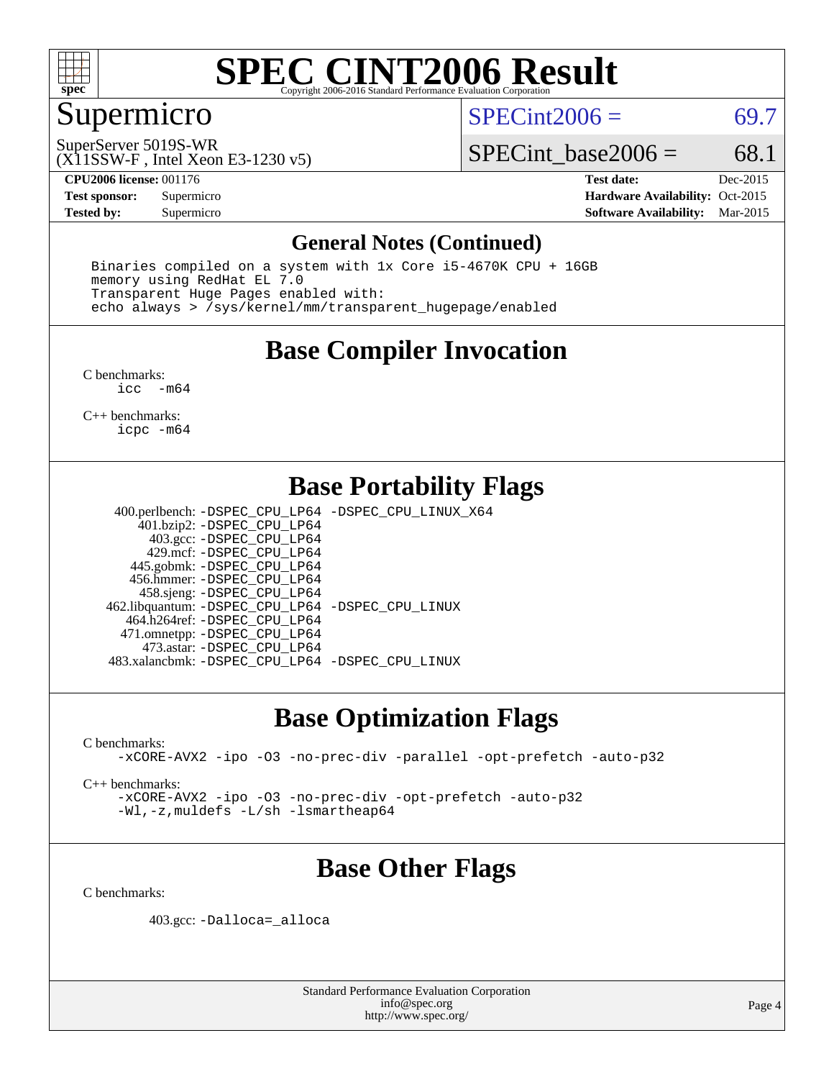

### Supermicro

 $SPECint2006 = 69.7$  $SPECint2006 = 69.7$ 

(X11SSW-F , Intel Xeon E3-1230 v5) SuperServer 5019S-WR

SPECint base2006 =  $68.1$ 

**[CPU2006 license:](http://www.spec.org/auto/cpu2006/Docs/result-fields.html#CPU2006license)** 001176 **[Test date:](http://www.spec.org/auto/cpu2006/Docs/result-fields.html#Testdate)** Dec-2015 **[Test sponsor:](http://www.spec.org/auto/cpu2006/Docs/result-fields.html#Testsponsor)** Supermicro Supermicro **[Hardware Availability:](http://www.spec.org/auto/cpu2006/Docs/result-fields.html#HardwareAvailability)** Oct-2015 **[Tested by:](http://www.spec.org/auto/cpu2006/Docs/result-fields.html#Testedby)** Supermicro **Supermicro [Software Availability:](http://www.spec.org/auto/cpu2006/Docs/result-fields.html#SoftwareAvailability)** Mar-2015

#### **[General Notes \(Continued\)](http://www.spec.org/auto/cpu2006/Docs/result-fields.html#GeneralNotes)**

 Binaries compiled on a system with 1x Core i5-4670K CPU + 16GB memory using RedHat EL 7.0 Transparent Huge Pages enabled with: echo always > /sys/kernel/mm/transparent\_hugepage/enabled

### **[Base Compiler Invocation](http://www.spec.org/auto/cpu2006/Docs/result-fields.html#BaseCompilerInvocation)**

[C benchmarks](http://www.spec.org/auto/cpu2006/Docs/result-fields.html#Cbenchmarks): [icc -m64](http://www.spec.org/cpu2006/results/res2016q1/cpu2006-20151217-38473.flags.html#user_CCbase_intel_icc_64bit_f346026e86af2a669e726fe758c88044)

[C++ benchmarks:](http://www.spec.org/auto/cpu2006/Docs/result-fields.html#CXXbenchmarks) [icpc -m64](http://www.spec.org/cpu2006/results/res2016q1/cpu2006-20151217-38473.flags.html#user_CXXbase_intel_icpc_64bit_fc66a5337ce925472a5c54ad6a0de310)

### **[Base Portability Flags](http://www.spec.org/auto/cpu2006/Docs/result-fields.html#BasePortabilityFlags)**

 400.perlbench: [-DSPEC\\_CPU\\_LP64](http://www.spec.org/cpu2006/results/res2016q1/cpu2006-20151217-38473.flags.html#b400.perlbench_basePORTABILITY_DSPEC_CPU_LP64) [-DSPEC\\_CPU\\_LINUX\\_X64](http://www.spec.org/cpu2006/results/res2016q1/cpu2006-20151217-38473.flags.html#b400.perlbench_baseCPORTABILITY_DSPEC_CPU_LINUX_X64) 401.bzip2: [-DSPEC\\_CPU\\_LP64](http://www.spec.org/cpu2006/results/res2016q1/cpu2006-20151217-38473.flags.html#suite_basePORTABILITY401_bzip2_DSPEC_CPU_LP64) 403.gcc: [-DSPEC\\_CPU\\_LP64](http://www.spec.org/cpu2006/results/res2016q1/cpu2006-20151217-38473.flags.html#suite_basePORTABILITY403_gcc_DSPEC_CPU_LP64) 429.mcf: [-DSPEC\\_CPU\\_LP64](http://www.spec.org/cpu2006/results/res2016q1/cpu2006-20151217-38473.flags.html#suite_basePORTABILITY429_mcf_DSPEC_CPU_LP64) 445.gobmk: [-DSPEC\\_CPU\\_LP64](http://www.spec.org/cpu2006/results/res2016q1/cpu2006-20151217-38473.flags.html#suite_basePORTABILITY445_gobmk_DSPEC_CPU_LP64) 456.hmmer: [-DSPEC\\_CPU\\_LP64](http://www.spec.org/cpu2006/results/res2016q1/cpu2006-20151217-38473.flags.html#suite_basePORTABILITY456_hmmer_DSPEC_CPU_LP64) 458.sjeng: [-DSPEC\\_CPU\\_LP64](http://www.spec.org/cpu2006/results/res2016q1/cpu2006-20151217-38473.flags.html#suite_basePORTABILITY458_sjeng_DSPEC_CPU_LP64) 462.libquantum: [-DSPEC\\_CPU\\_LP64](http://www.spec.org/cpu2006/results/res2016q1/cpu2006-20151217-38473.flags.html#suite_basePORTABILITY462_libquantum_DSPEC_CPU_LP64) [-DSPEC\\_CPU\\_LINUX](http://www.spec.org/cpu2006/results/res2016q1/cpu2006-20151217-38473.flags.html#b462.libquantum_baseCPORTABILITY_DSPEC_CPU_LINUX) 464.h264ref: [-DSPEC\\_CPU\\_LP64](http://www.spec.org/cpu2006/results/res2016q1/cpu2006-20151217-38473.flags.html#suite_basePORTABILITY464_h264ref_DSPEC_CPU_LP64) 471.omnetpp: [-DSPEC\\_CPU\\_LP64](http://www.spec.org/cpu2006/results/res2016q1/cpu2006-20151217-38473.flags.html#suite_basePORTABILITY471_omnetpp_DSPEC_CPU_LP64) 473.astar: [-DSPEC\\_CPU\\_LP64](http://www.spec.org/cpu2006/results/res2016q1/cpu2006-20151217-38473.flags.html#suite_basePORTABILITY473_astar_DSPEC_CPU_LP64) 483.xalancbmk: [-DSPEC\\_CPU\\_LP64](http://www.spec.org/cpu2006/results/res2016q1/cpu2006-20151217-38473.flags.html#suite_basePORTABILITY483_xalancbmk_DSPEC_CPU_LP64) [-DSPEC\\_CPU\\_LINUX](http://www.spec.org/cpu2006/results/res2016q1/cpu2006-20151217-38473.flags.html#b483.xalancbmk_baseCXXPORTABILITY_DSPEC_CPU_LINUX)

#### **[Base Optimization Flags](http://www.spec.org/auto/cpu2006/Docs/result-fields.html#BaseOptimizationFlags)**

[C benchmarks](http://www.spec.org/auto/cpu2006/Docs/result-fields.html#Cbenchmarks):

[-xCORE-AVX2](http://www.spec.org/cpu2006/results/res2016q1/cpu2006-20151217-38473.flags.html#user_CCbase_f-xAVX2_5f5fc0cbe2c9f62c816d3e45806c70d7) [-ipo](http://www.spec.org/cpu2006/results/res2016q1/cpu2006-20151217-38473.flags.html#user_CCbase_f-ipo) [-O3](http://www.spec.org/cpu2006/results/res2016q1/cpu2006-20151217-38473.flags.html#user_CCbase_f-O3) [-no-prec-div](http://www.spec.org/cpu2006/results/res2016q1/cpu2006-20151217-38473.flags.html#user_CCbase_f-no-prec-div) [-parallel](http://www.spec.org/cpu2006/results/res2016q1/cpu2006-20151217-38473.flags.html#user_CCbase_f-parallel) [-opt-prefetch](http://www.spec.org/cpu2006/results/res2016q1/cpu2006-20151217-38473.flags.html#user_CCbase_f-opt-prefetch) [-auto-p32](http://www.spec.org/cpu2006/results/res2016q1/cpu2006-20151217-38473.flags.html#user_CCbase_f-auto-p32)

[C++ benchmarks:](http://www.spec.org/auto/cpu2006/Docs/result-fields.html#CXXbenchmarks)

[-xCORE-AVX2](http://www.spec.org/cpu2006/results/res2016q1/cpu2006-20151217-38473.flags.html#user_CXXbase_f-xAVX2_5f5fc0cbe2c9f62c816d3e45806c70d7) [-ipo](http://www.spec.org/cpu2006/results/res2016q1/cpu2006-20151217-38473.flags.html#user_CXXbase_f-ipo) [-O3](http://www.spec.org/cpu2006/results/res2016q1/cpu2006-20151217-38473.flags.html#user_CXXbase_f-O3) [-no-prec-div](http://www.spec.org/cpu2006/results/res2016q1/cpu2006-20151217-38473.flags.html#user_CXXbase_f-no-prec-div) [-opt-prefetch](http://www.spec.org/cpu2006/results/res2016q1/cpu2006-20151217-38473.flags.html#user_CXXbase_f-opt-prefetch) [-auto-p32](http://www.spec.org/cpu2006/results/res2016q1/cpu2006-20151217-38473.flags.html#user_CXXbase_f-auto-p32) [-Wl,-z,muldefs](http://www.spec.org/cpu2006/results/res2016q1/cpu2006-20151217-38473.flags.html#user_CXXbase_link_force_multiple1_74079c344b956b9658436fd1b6dd3a8a) [-L/sh -lsmartheap64](http://www.spec.org/cpu2006/results/res2016q1/cpu2006-20151217-38473.flags.html#user_CXXbase_SmartHeap64_ed4ef857ce90951921efb0d91eb88472)

### **[Base Other Flags](http://www.spec.org/auto/cpu2006/Docs/result-fields.html#BaseOtherFlags)**

[C benchmarks](http://www.spec.org/auto/cpu2006/Docs/result-fields.html#Cbenchmarks):

403.gcc: [-Dalloca=\\_alloca](http://www.spec.org/cpu2006/results/res2016q1/cpu2006-20151217-38473.flags.html#b403.gcc_baseEXTRA_CFLAGS_Dalloca_be3056838c12de2578596ca5467af7f3)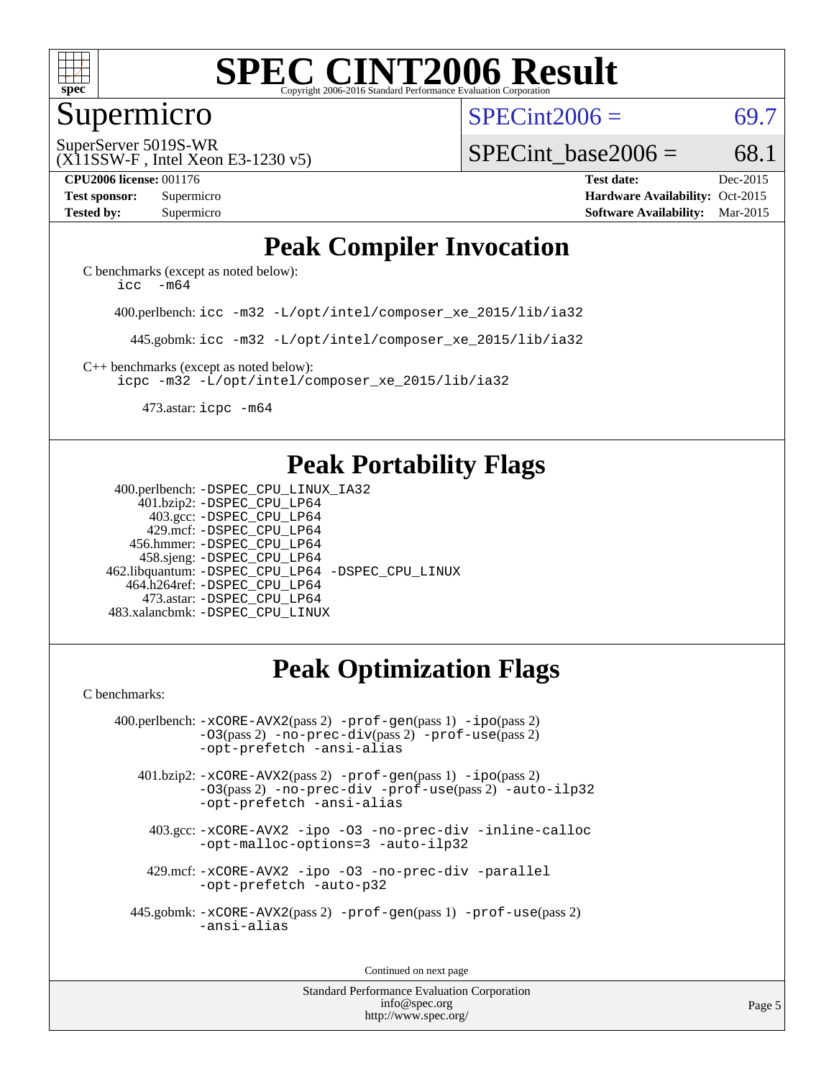

#### Supermicro

 $SPECint2006 = 69.7$  $SPECint2006 = 69.7$ 

(X11SSW-F , Intel Xeon E3-1230 v5) SuperServer 5019S-WR

SPECint base2006 =  $68.1$ 

**[CPU2006 license:](http://www.spec.org/auto/cpu2006/Docs/result-fields.html#CPU2006license)** 001176 **[Test date:](http://www.spec.org/auto/cpu2006/Docs/result-fields.html#Testdate)** Dec-2015 **[Test sponsor:](http://www.spec.org/auto/cpu2006/Docs/result-fields.html#Testsponsor)** Supermicro Supermicro **[Hardware Availability:](http://www.spec.org/auto/cpu2006/Docs/result-fields.html#HardwareAvailability)** Oct-2015 **[Tested by:](http://www.spec.org/auto/cpu2006/Docs/result-fields.html#Testedby)** Supermicro **Supermicro [Software Availability:](http://www.spec.org/auto/cpu2006/Docs/result-fields.html#SoftwareAvailability)** Mar-2015

### **[Peak Compiler Invocation](http://www.spec.org/auto/cpu2006/Docs/result-fields.html#PeakCompilerInvocation)**

[C benchmarks \(except as noted below\)](http://www.spec.org/auto/cpu2006/Docs/result-fields.html#Cbenchmarksexceptasnotedbelow): icc  $-m64$ 

400.perlbench: [icc -m32 -L/opt/intel/composer\\_xe\\_2015/lib/ia32](http://www.spec.org/cpu2006/results/res2016q1/cpu2006-20151217-38473.flags.html#user_peakCCLD400_perlbench_intel_icc_011b86df29f8c679b747245588698a4d)

445.gobmk: [icc -m32 -L/opt/intel/composer\\_xe\\_2015/lib/ia32](http://www.spec.org/cpu2006/results/res2016q1/cpu2006-20151217-38473.flags.html#user_peakCCLD445_gobmk_intel_icc_011b86df29f8c679b747245588698a4d)

[C++ benchmarks \(except as noted below\):](http://www.spec.org/auto/cpu2006/Docs/result-fields.html#CXXbenchmarksexceptasnotedbelow) [icpc -m32 -L/opt/intel/composer\\_xe\\_2015/lib/ia32](http://www.spec.org/cpu2006/results/res2016q1/cpu2006-20151217-38473.flags.html#user_CXXpeak_intel_icpc_c2c99686a1a582c3e0de0b4806b02cea)

473.astar: [icpc -m64](http://www.spec.org/cpu2006/results/res2016q1/cpu2006-20151217-38473.flags.html#user_peakCXXLD473_astar_intel_icpc_64bit_fc66a5337ce925472a5c54ad6a0de310)

### **[Peak Portability Flags](http://www.spec.org/auto/cpu2006/Docs/result-fields.html#PeakPortabilityFlags)**

 400.perlbench: [-DSPEC\\_CPU\\_LINUX\\_IA32](http://www.spec.org/cpu2006/results/res2016q1/cpu2006-20151217-38473.flags.html#b400.perlbench_peakCPORTABILITY_DSPEC_CPU_LINUX_IA32) 401.bzip2: [-DSPEC\\_CPU\\_LP64](http://www.spec.org/cpu2006/results/res2016q1/cpu2006-20151217-38473.flags.html#suite_peakPORTABILITY401_bzip2_DSPEC_CPU_LP64) 403.gcc: [-DSPEC\\_CPU\\_LP64](http://www.spec.org/cpu2006/results/res2016q1/cpu2006-20151217-38473.flags.html#suite_peakPORTABILITY403_gcc_DSPEC_CPU_LP64) 429.mcf: [-DSPEC\\_CPU\\_LP64](http://www.spec.org/cpu2006/results/res2016q1/cpu2006-20151217-38473.flags.html#suite_peakPORTABILITY429_mcf_DSPEC_CPU_LP64) 456.hmmer: [-DSPEC\\_CPU\\_LP64](http://www.spec.org/cpu2006/results/res2016q1/cpu2006-20151217-38473.flags.html#suite_peakPORTABILITY456_hmmer_DSPEC_CPU_LP64) 458.sjeng: [-DSPEC\\_CPU\\_LP64](http://www.spec.org/cpu2006/results/res2016q1/cpu2006-20151217-38473.flags.html#suite_peakPORTABILITY458_sjeng_DSPEC_CPU_LP64) 462.libquantum: [-DSPEC\\_CPU\\_LP64](http://www.spec.org/cpu2006/results/res2016q1/cpu2006-20151217-38473.flags.html#suite_peakPORTABILITY462_libquantum_DSPEC_CPU_LP64) [-DSPEC\\_CPU\\_LINUX](http://www.spec.org/cpu2006/results/res2016q1/cpu2006-20151217-38473.flags.html#b462.libquantum_peakCPORTABILITY_DSPEC_CPU_LINUX) 464.h264ref: [-DSPEC\\_CPU\\_LP64](http://www.spec.org/cpu2006/results/res2016q1/cpu2006-20151217-38473.flags.html#suite_peakPORTABILITY464_h264ref_DSPEC_CPU_LP64) 473.astar: [-DSPEC\\_CPU\\_LP64](http://www.spec.org/cpu2006/results/res2016q1/cpu2006-20151217-38473.flags.html#suite_peakPORTABILITY473_astar_DSPEC_CPU_LP64) 483.xalancbmk: [-DSPEC\\_CPU\\_LINUX](http://www.spec.org/cpu2006/results/res2016q1/cpu2006-20151217-38473.flags.html#b483.xalancbmk_peakCXXPORTABILITY_DSPEC_CPU_LINUX)

# **[Peak Optimization Flags](http://www.spec.org/auto/cpu2006/Docs/result-fields.html#PeakOptimizationFlags)**

[C benchmarks](http://www.spec.org/auto/cpu2006/Docs/result-fields.html#Cbenchmarks):

 400.perlbench: [-xCORE-AVX2](http://www.spec.org/cpu2006/results/res2016q1/cpu2006-20151217-38473.flags.html#user_peakPASS2_CFLAGSPASS2_LDCFLAGS400_perlbench_f-xAVX2_5f5fc0cbe2c9f62c816d3e45806c70d7)(pass 2) [-prof-gen](http://www.spec.org/cpu2006/results/res2016q1/cpu2006-20151217-38473.flags.html#user_peakPASS1_CFLAGSPASS1_LDCFLAGS400_perlbench_prof_gen_e43856698f6ca7b7e442dfd80e94a8fc)(pass 1) [-ipo](http://www.spec.org/cpu2006/results/res2016q1/cpu2006-20151217-38473.flags.html#user_peakPASS2_CFLAGSPASS2_LDCFLAGS400_perlbench_f-ipo)(pass 2) [-O3](http://www.spec.org/cpu2006/results/res2016q1/cpu2006-20151217-38473.flags.html#user_peakPASS2_CFLAGSPASS2_LDCFLAGS400_perlbench_f-O3)(pass 2) [-no-prec-div](http://www.spec.org/cpu2006/results/res2016q1/cpu2006-20151217-38473.flags.html#user_peakPASS2_CFLAGSPASS2_LDCFLAGS400_perlbench_f-no-prec-div)(pass 2) [-prof-use](http://www.spec.org/cpu2006/results/res2016q1/cpu2006-20151217-38473.flags.html#user_peakPASS2_CFLAGSPASS2_LDCFLAGS400_perlbench_prof_use_bccf7792157ff70d64e32fe3e1250b55)(pass 2) [-opt-prefetch](http://www.spec.org/cpu2006/results/res2016q1/cpu2006-20151217-38473.flags.html#user_peakCOPTIMIZE400_perlbench_f-opt-prefetch) [-ansi-alias](http://www.spec.org/cpu2006/results/res2016q1/cpu2006-20151217-38473.flags.html#user_peakCOPTIMIZE400_perlbench_f-ansi-alias)

 401.bzip2: [-xCORE-AVX2](http://www.spec.org/cpu2006/results/res2016q1/cpu2006-20151217-38473.flags.html#user_peakPASS2_CFLAGSPASS2_LDCFLAGS401_bzip2_f-xAVX2_5f5fc0cbe2c9f62c816d3e45806c70d7)(pass 2) [-prof-gen](http://www.spec.org/cpu2006/results/res2016q1/cpu2006-20151217-38473.flags.html#user_peakPASS1_CFLAGSPASS1_LDCFLAGS401_bzip2_prof_gen_e43856698f6ca7b7e442dfd80e94a8fc)(pass 1) [-ipo](http://www.spec.org/cpu2006/results/res2016q1/cpu2006-20151217-38473.flags.html#user_peakPASS2_CFLAGSPASS2_LDCFLAGS401_bzip2_f-ipo)(pass 2) [-O3](http://www.spec.org/cpu2006/results/res2016q1/cpu2006-20151217-38473.flags.html#user_peakPASS2_CFLAGSPASS2_LDCFLAGS401_bzip2_f-O3)(pass 2) [-no-prec-div](http://www.spec.org/cpu2006/results/res2016q1/cpu2006-20151217-38473.flags.html#user_peakCOPTIMIZEPASS2_CFLAGSPASS2_LDCFLAGS401_bzip2_f-no-prec-div) [-prof-use](http://www.spec.org/cpu2006/results/res2016q1/cpu2006-20151217-38473.flags.html#user_peakPASS2_CFLAGSPASS2_LDCFLAGS401_bzip2_prof_use_bccf7792157ff70d64e32fe3e1250b55)(pass 2) [-auto-ilp32](http://www.spec.org/cpu2006/results/res2016q1/cpu2006-20151217-38473.flags.html#user_peakCOPTIMIZE401_bzip2_f-auto-ilp32) [-opt-prefetch](http://www.spec.org/cpu2006/results/res2016q1/cpu2006-20151217-38473.flags.html#user_peakCOPTIMIZE401_bzip2_f-opt-prefetch) [-ansi-alias](http://www.spec.org/cpu2006/results/res2016q1/cpu2006-20151217-38473.flags.html#user_peakCOPTIMIZE401_bzip2_f-ansi-alias)

 403.gcc: [-xCORE-AVX2](http://www.spec.org/cpu2006/results/res2016q1/cpu2006-20151217-38473.flags.html#user_peakCOPTIMIZE403_gcc_f-xAVX2_5f5fc0cbe2c9f62c816d3e45806c70d7) [-ipo](http://www.spec.org/cpu2006/results/res2016q1/cpu2006-20151217-38473.flags.html#user_peakCOPTIMIZE403_gcc_f-ipo) [-O3](http://www.spec.org/cpu2006/results/res2016q1/cpu2006-20151217-38473.flags.html#user_peakCOPTIMIZE403_gcc_f-O3) [-no-prec-div](http://www.spec.org/cpu2006/results/res2016q1/cpu2006-20151217-38473.flags.html#user_peakCOPTIMIZE403_gcc_f-no-prec-div) [-inline-calloc](http://www.spec.org/cpu2006/results/res2016q1/cpu2006-20151217-38473.flags.html#user_peakCOPTIMIZE403_gcc_f-inline-calloc) [-opt-malloc-options=3](http://www.spec.org/cpu2006/results/res2016q1/cpu2006-20151217-38473.flags.html#user_peakCOPTIMIZE403_gcc_f-opt-malloc-options_13ab9b803cf986b4ee62f0a5998c2238) [-auto-ilp32](http://www.spec.org/cpu2006/results/res2016q1/cpu2006-20151217-38473.flags.html#user_peakCOPTIMIZE403_gcc_f-auto-ilp32)

 429.mcf: [-xCORE-AVX2](http://www.spec.org/cpu2006/results/res2016q1/cpu2006-20151217-38473.flags.html#user_peakCOPTIMIZE429_mcf_f-xAVX2_5f5fc0cbe2c9f62c816d3e45806c70d7) [-ipo](http://www.spec.org/cpu2006/results/res2016q1/cpu2006-20151217-38473.flags.html#user_peakCOPTIMIZE429_mcf_f-ipo) [-O3](http://www.spec.org/cpu2006/results/res2016q1/cpu2006-20151217-38473.flags.html#user_peakCOPTIMIZE429_mcf_f-O3) [-no-prec-div](http://www.spec.org/cpu2006/results/res2016q1/cpu2006-20151217-38473.flags.html#user_peakCOPTIMIZE429_mcf_f-no-prec-div) [-parallel](http://www.spec.org/cpu2006/results/res2016q1/cpu2006-20151217-38473.flags.html#user_peakCOPTIMIZE429_mcf_f-parallel) [-opt-prefetch](http://www.spec.org/cpu2006/results/res2016q1/cpu2006-20151217-38473.flags.html#user_peakCOPTIMIZE429_mcf_f-opt-prefetch) [-auto-p32](http://www.spec.org/cpu2006/results/res2016q1/cpu2006-20151217-38473.flags.html#user_peakCOPTIMIZE429_mcf_f-auto-p32)

 445.gobmk: [-xCORE-AVX2](http://www.spec.org/cpu2006/results/res2016q1/cpu2006-20151217-38473.flags.html#user_peakPASS2_CFLAGSPASS2_LDCFLAGS445_gobmk_f-xAVX2_5f5fc0cbe2c9f62c816d3e45806c70d7)(pass 2) [-prof-gen](http://www.spec.org/cpu2006/results/res2016q1/cpu2006-20151217-38473.flags.html#user_peakPASS1_CFLAGSPASS1_LDCFLAGS445_gobmk_prof_gen_e43856698f6ca7b7e442dfd80e94a8fc)(pass 1) [-prof-use](http://www.spec.org/cpu2006/results/res2016q1/cpu2006-20151217-38473.flags.html#user_peakPASS2_CFLAGSPASS2_LDCFLAGS445_gobmk_prof_use_bccf7792157ff70d64e32fe3e1250b55)(pass 2) [-ansi-alias](http://www.spec.org/cpu2006/results/res2016q1/cpu2006-20151217-38473.flags.html#user_peakCOPTIMIZE445_gobmk_f-ansi-alias)

Continued on next page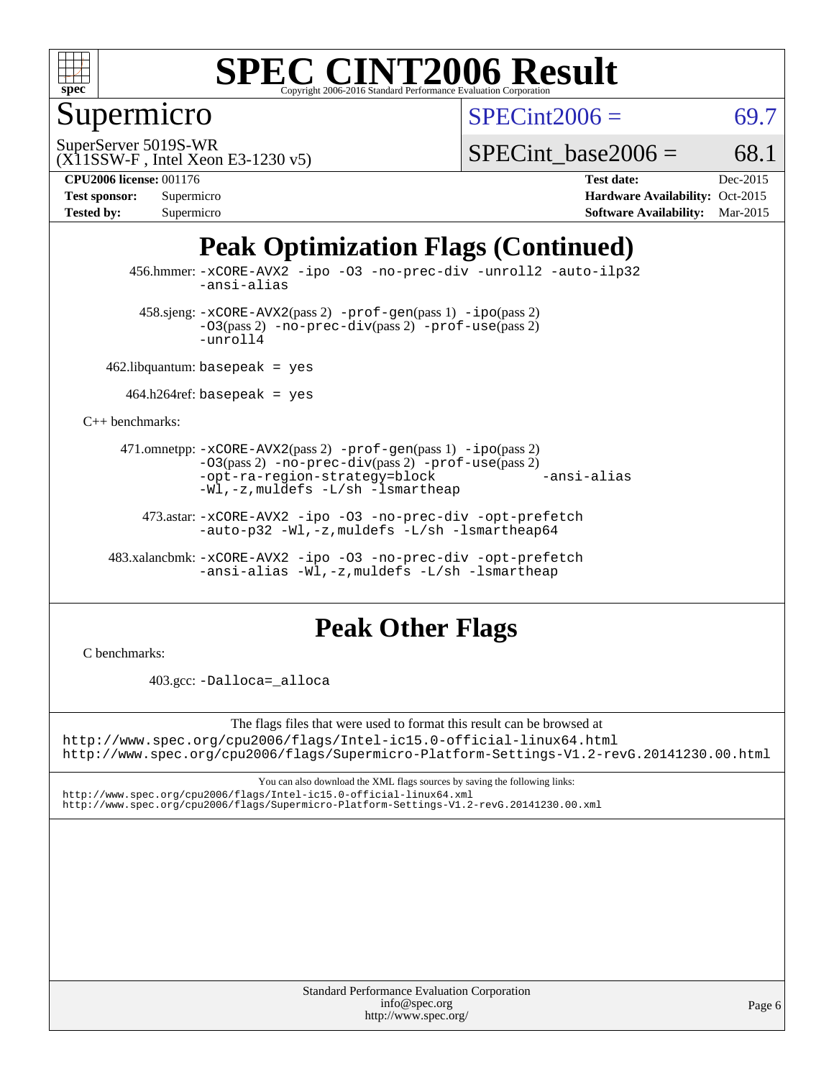

### Supermicro

 $SPECint2006 = 69.7$  $SPECint2006 = 69.7$ 

(X11SSW-F , Intel Xeon E3-1230 v5) SuperServer 5019S-WR

SPECint base2006 =  $68.1$ 

| <b>Test sponsor:</b> | Supermicro |
|----------------------|------------|
| <b>Tested by:</b>    | Supermicro |

**[CPU2006 license:](http://www.spec.org/auto/cpu2006/Docs/result-fields.html#CPU2006license)** 001176 **[Test date:](http://www.spec.org/auto/cpu2006/Docs/result-fields.html#Testdate)** Dec-2015 **[Hardware Availability:](http://www.spec.org/auto/cpu2006/Docs/result-fields.html#HardwareAvailability)** Oct-2015 **[Software Availability:](http://www.spec.org/auto/cpu2006/Docs/result-fields.html#SoftwareAvailability)** Mar-2015

# **[Peak Optimization Flags \(Continued\)](http://www.spec.org/auto/cpu2006/Docs/result-fields.html#PeakOptimizationFlags)**

 456.hmmer: [-xCORE-AVX2](http://www.spec.org/cpu2006/results/res2016q1/cpu2006-20151217-38473.flags.html#user_peakCOPTIMIZE456_hmmer_f-xAVX2_5f5fc0cbe2c9f62c816d3e45806c70d7) [-ipo](http://www.spec.org/cpu2006/results/res2016q1/cpu2006-20151217-38473.flags.html#user_peakCOPTIMIZE456_hmmer_f-ipo) [-O3](http://www.spec.org/cpu2006/results/res2016q1/cpu2006-20151217-38473.flags.html#user_peakCOPTIMIZE456_hmmer_f-O3) [-no-prec-div](http://www.spec.org/cpu2006/results/res2016q1/cpu2006-20151217-38473.flags.html#user_peakCOPTIMIZE456_hmmer_f-no-prec-div) [-unroll2](http://www.spec.org/cpu2006/results/res2016q1/cpu2006-20151217-38473.flags.html#user_peakCOPTIMIZE456_hmmer_f-unroll_784dae83bebfb236979b41d2422d7ec2) [-auto-ilp32](http://www.spec.org/cpu2006/results/res2016q1/cpu2006-20151217-38473.flags.html#user_peakCOPTIMIZE456_hmmer_f-auto-ilp32) [-ansi-alias](http://www.spec.org/cpu2006/results/res2016q1/cpu2006-20151217-38473.flags.html#user_peakCOPTIMIZE456_hmmer_f-ansi-alias)

 $458 \text{.}$ sjeng:  $-x \text{CORE-AVX2}(pass 2)$  -prof-qen(pass 1) [-ipo](http://www.spec.org/cpu2006/results/res2016q1/cpu2006-20151217-38473.flags.html#user_peakPASS2_CFLAGSPASS2_LDCFLAGS458_sjeng_f-ipo)(pass 2) [-O3](http://www.spec.org/cpu2006/results/res2016q1/cpu2006-20151217-38473.flags.html#user_peakPASS2_CFLAGSPASS2_LDCFLAGS458_sjeng_f-O3)(pass 2) [-no-prec-div](http://www.spec.org/cpu2006/results/res2016q1/cpu2006-20151217-38473.flags.html#user_peakPASS2_CFLAGSPASS2_LDCFLAGS458_sjeng_f-no-prec-div)(pass 2) [-prof-use](http://www.spec.org/cpu2006/results/res2016q1/cpu2006-20151217-38473.flags.html#user_peakPASS2_CFLAGSPASS2_LDCFLAGS458_sjeng_prof_use_bccf7792157ff70d64e32fe3e1250b55)(pass 2) [-unroll4](http://www.spec.org/cpu2006/results/res2016q1/cpu2006-20151217-38473.flags.html#user_peakCOPTIMIZE458_sjeng_f-unroll_4e5e4ed65b7fd20bdcd365bec371b81f)

462.libquantum: basepeak = yes

 $464.h264$ ref: basepeak = yes

[C++ benchmarks:](http://www.spec.org/auto/cpu2006/Docs/result-fields.html#CXXbenchmarks)

 471.omnetpp: [-xCORE-AVX2](http://www.spec.org/cpu2006/results/res2016q1/cpu2006-20151217-38473.flags.html#user_peakPASS2_CXXFLAGSPASS2_LDCXXFLAGS471_omnetpp_f-xAVX2_5f5fc0cbe2c9f62c816d3e45806c70d7)(pass 2) [-prof-gen](http://www.spec.org/cpu2006/results/res2016q1/cpu2006-20151217-38473.flags.html#user_peakPASS1_CXXFLAGSPASS1_LDCXXFLAGS471_omnetpp_prof_gen_e43856698f6ca7b7e442dfd80e94a8fc)(pass 1) [-ipo](http://www.spec.org/cpu2006/results/res2016q1/cpu2006-20151217-38473.flags.html#user_peakPASS2_CXXFLAGSPASS2_LDCXXFLAGS471_omnetpp_f-ipo)(pass 2) [-O3](http://www.spec.org/cpu2006/results/res2016q1/cpu2006-20151217-38473.flags.html#user_peakPASS2_CXXFLAGSPASS2_LDCXXFLAGS471_omnetpp_f-O3)(pass 2) [-no-prec-div](http://www.spec.org/cpu2006/results/res2016q1/cpu2006-20151217-38473.flags.html#user_peakPASS2_CXXFLAGSPASS2_LDCXXFLAGS471_omnetpp_f-no-prec-div)(pass 2) [-prof-use](http://www.spec.org/cpu2006/results/res2016q1/cpu2006-20151217-38473.flags.html#user_peakPASS2_CXXFLAGSPASS2_LDCXXFLAGS471_omnetpp_prof_use_bccf7792157ff70d64e32fe3e1250b55)(pass 2) [-opt-ra-region-strategy=block](http://www.spec.org/cpu2006/results/res2016q1/cpu2006-20151217-38473.flags.html#user_peakCXXOPTIMIZE471_omnetpp_f-opt-ra-region-strategy_5382940c29ea30302d682fc74bfe0147) [-ansi-alias](http://www.spec.org/cpu2006/results/res2016q1/cpu2006-20151217-38473.flags.html#user_peakCXXOPTIMIZE471_omnetpp_f-ansi-alias) [-Wl,-z,muldefs](http://www.spec.org/cpu2006/results/res2016q1/cpu2006-20151217-38473.flags.html#user_peakEXTRA_LDFLAGS471_omnetpp_link_force_multiple1_74079c344b956b9658436fd1b6dd3a8a) [-L/sh -lsmartheap](http://www.spec.org/cpu2006/results/res2016q1/cpu2006-20151217-38473.flags.html#user_peakEXTRA_LIBS471_omnetpp_SmartHeap_32f6c82aa1ed9c52345d30cf6e4a0499)

 473.astar: [-xCORE-AVX2](http://www.spec.org/cpu2006/results/res2016q1/cpu2006-20151217-38473.flags.html#user_peakCXXOPTIMIZE473_astar_f-xAVX2_5f5fc0cbe2c9f62c816d3e45806c70d7) [-ipo](http://www.spec.org/cpu2006/results/res2016q1/cpu2006-20151217-38473.flags.html#user_peakCXXOPTIMIZE473_astar_f-ipo) [-O3](http://www.spec.org/cpu2006/results/res2016q1/cpu2006-20151217-38473.flags.html#user_peakCXXOPTIMIZE473_astar_f-O3) [-no-prec-div](http://www.spec.org/cpu2006/results/res2016q1/cpu2006-20151217-38473.flags.html#user_peakCXXOPTIMIZE473_astar_f-no-prec-div) [-opt-prefetch](http://www.spec.org/cpu2006/results/res2016q1/cpu2006-20151217-38473.flags.html#user_peakCXXOPTIMIZE473_astar_f-opt-prefetch) [-auto-p32](http://www.spec.org/cpu2006/results/res2016q1/cpu2006-20151217-38473.flags.html#user_peakCXXOPTIMIZE473_astar_f-auto-p32) -Wl,-z, muldefs [-L/sh -lsmartheap64](http://www.spec.org/cpu2006/results/res2016q1/cpu2006-20151217-38473.flags.html#user_peakEXTRA_LIBS473_astar_SmartHeap64_ed4ef857ce90951921efb0d91eb88472)

 483.xalancbmk: [-xCORE-AVX2](http://www.spec.org/cpu2006/results/res2016q1/cpu2006-20151217-38473.flags.html#user_peakCXXOPTIMIZE483_xalancbmk_f-xAVX2_5f5fc0cbe2c9f62c816d3e45806c70d7) [-ipo](http://www.spec.org/cpu2006/results/res2016q1/cpu2006-20151217-38473.flags.html#user_peakCXXOPTIMIZE483_xalancbmk_f-ipo) [-O3](http://www.spec.org/cpu2006/results/res2016q1/cpu2006-20151217-38473.flags.html#user_peakCXXOPTIMIZE483_xalancbmk_f-O3) [-no-prec-div](http://www.spec.org/cpu2006/results/res2016q1/cpu2006-20151217-38473.flags.html#user_peakCXXOPTIMIZE483_xalancbmk_f-no-prec-div) [-opt-prefetch](http://www.spec.org/cpu2006/results/res2016q1/cpu2006-20151217-38473.flags.html#user_peakCXXOPTIMIZE483_xalancbmk_f-opt-prefetch) [-ansi-alias](http://www.spec.org/cpu2006/results/res2016q1/cpu2006-20151217-38473.flags.html#user_peakCXXOPTIMIZE483_xalancbmk_f-ansi-alias) [-Wl,-z,muldefs](http://www.spec.org/cpu2006/results/res2016q1/cpu2006-20151217-38473.flags.html#user_peakEXTRA_LDFLAGS483_xalancbmk_link_force_multiple1_74079c344b956b9658436fd1b6dd3a8a) [-L/sh -lsmartheap](http://www.spec.org/cpu2006/results/res2016q1/cpu2006-20151217-38473.flags.html#user_peakEXTRA_LIBS483_xalancbmk_SmartHeap_32f6c82aa1ed9c52345d30cf6e4a0499)

#### **[Peak Other Flags](http://www.spec.org/auto/cpu2006/Docs/result-fields.html#PeakOtherFlags)**

[C benchmarks](http://www.spec.org/auto/cpu2006/Docs/result-fields.html#Cbenchmarks):

403.gcc: [-Dalloca=\\_alloca](http://www.spec.org/cpu2006/results/res2016q1/cpu2006-20151217-38473.flags.html#b403.gcc_peakEXTRA_CFLAGS_Dalloca_be3056838c12de2578596ca5467af7f3)

The flags files that were used to format this result can be browsed at

<http://www.spec.org/cpu2006/flags/Intel-ic15.0-official-linux64.html> <http://www.spec.org/cpu2006/flags/Supermicro-Platform-Settings-V1.2-revG.20141230.00.html>

You can also download the XML flags sources by saving the following links: <http://www.spec.org/cpu2006/flags/Intel-ic15.0-official-linux64.xml> <http://www.spec.org/cpu2006/flags/Supermicro-Platform-Settings-V1.2-revG.20141230.00.xml>